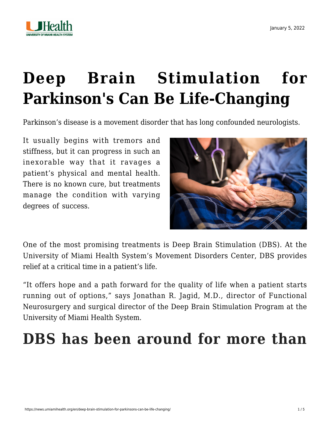



# **[Deep Brain Stimulation for](https://news.umiamihealth.org/en/deep-brain-stimulation-for-parkinsons-can-be-life-changing/) [Parkinson's Can Be Life-Changing](https://news.umiamihealth.org/en/deep-brain-stimulation-for-parkinsons-can-be-life-changing/)**

Parkinson's disease is a movement disorder that has long confounded neurologists.

It usually begins with tremors and stiffness, but it can progress in such an inexorable way that it ravages a patient's physical and mental health. There is no known cure, but treatments manage the condition with varying degrees of success.



One of the most promising treatments is [Deep Brain Stimulation \(DBS\)](https://umiamihealth.org/treatments-and-services/neurosurgery/deep-brain-stimulation). At the University of Miami Health System's Movement Disorders Center, DBS provides relief at a critical time in a patient's life.

"It offers hope and a path forward for the quality of life when a patient starts running out of options," says [Jonathan R. Jagid, M.D.,](https://doctors.umiamihealth.org/provider/Jonathan+Russell+Jagid/526004?clinical_experience=dbs%20programming&sort=networks%2Crelevance&_ga=2.123770058.155303830.1641219094-240133506.1583509446&_gac=1.222013034.1637611170.CjwKCAiAnO2MBhApEiwA8q0HYQoOvGlcVuzJrEyIAD3As2Sq-vZDqAleMHOMOasBe0D8QDLILEEJ6xoCv48QAvD_BwE&from=search-list) director of Functional Neurosurgery and surgical director of the Deep Brain Stimulation Program at the University of Miami Health System.

## **DBS has been around for more than**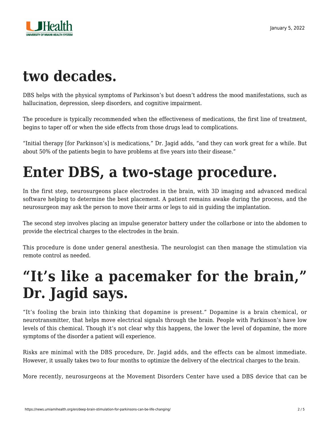

### **two decades.**

DBS helps with the physical symptoms of Parkinson's but doesn't address the mood manifestations, such as hallucination, depression, sleep disorders, and cognitive impairment.

The procedure is typically recommended when the effectiveness of medications, the first line of treatment, begins to taper off or when the side effects from those drugs lead to complications.

"Initial therapy [for Parkinson's] is medications," Dr. Jagid adds, "and they can work great for a while. But about 50% of the patients begin to have problems at five years into their disease."

#### **Enter DBS, a two-stage procedure.**

In the first step, neurosurgeons place electrodes in the brain, with 3D imaging and advanced medical software helping to determine the best placement. A patient remains awake during the process, and the neurosurgeon may ask the person to move their arms or legs to aid in guiding the implantation.

The second step involves placing an impulse generator battery under the collarbone or into the abdomen to provide the electrical charges to the electrodes in the brain.

This procedure is done under general anesthesia. The neurologist can then manage the stimulation via remote control as needed.

### **"It's like a pacemaker for the brain," Dr. Jagid says.**

"It's fooling the brain into thinking that dopamine is present." Dopamine is a brain chemical, or neurotransmitter, that helps move electrical signals through the brain. People with Parkinson's have low levels of this chemical. Though it's not clear why this happens, the lower the level of dopamine, the more symptoms of the disorder a patient will experience.

Risks are minimal with the DBS procedure, Dr. Jagid adds, and the effects can be almost immediate. However, it usually takes two to four months to optimize the delivery of the electrical charges to the brain.

More recently, neurosurgeons at the Movement Disorders Center have used a DBS device that can be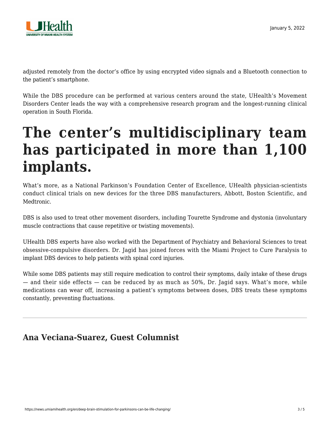

adjusted remotely from the doctor's office by using encrypted video signals and a Bluetooth connection to the patient's smartphone.

While the DBS procedure can be performed at various centers around the state, UHealth's Movement Disorders Center leads the way with a comprehensive research program and the longest-running clinical operation in South Florida.

#### **The center's multidisciplinary team has participated in more than 1,100 implants.**

What's more, as a National Parkinson's Foundation Center of Excellence, UHealth physician-scientists conduct clinical trials on new devices for the three DBS manufacturers, Abbott, Boston Scientific, and Medtronic.

DBS is also used to treat other movement disorders, including Tourette Syndrome and dystonia (involuntary muscle contractions that cause repetitive or twisting movements).

UHealth DBS experts have also worked with the Department of Psychiatry and Behavioral Sciences to treat obsessive-compulsive disorders. Dr. Jagid has joined forces with the Miami Project to Cure Paralysis to implant DBS devices to help patients with spinal cord injuries.

While some DBS patients may still require medication to control their symptoms, daily intake of these drugs — and their side effects — can be reduced by as much as 50%, Dr. Jagid says. What's more, while medications can wear off, increasing a patient's symptoms between doses, DBS treats these symptoms constantly, preventing fluctuations.

#### **Ana Veciana-Suarez, Guest Columnist**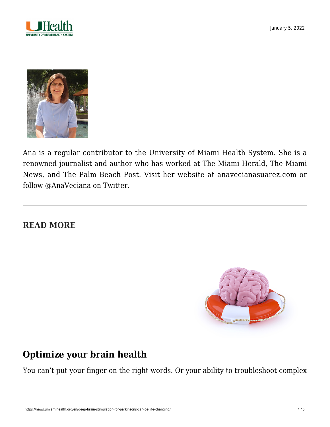



Ana is a regular contributor to the University of Miami Health System. She is a renowned journalist and author who has worked at The Miami Herald, The Miami News, and The Palm Beach Post. Visit her website at [anavecianasuarez.com](https://www.anavecianasuarez.com/) or follow [@AnaVeciana](https://twitter.com/AnaVeciana) on Twitter.

#### **READ MORE**



#### **[Optimize your brain health](https://news.umiamihealth.org/en/how-to-optimize-your-brain-health/)**

You can't put your finger on the right words. Or your ability to troubleshoot complex